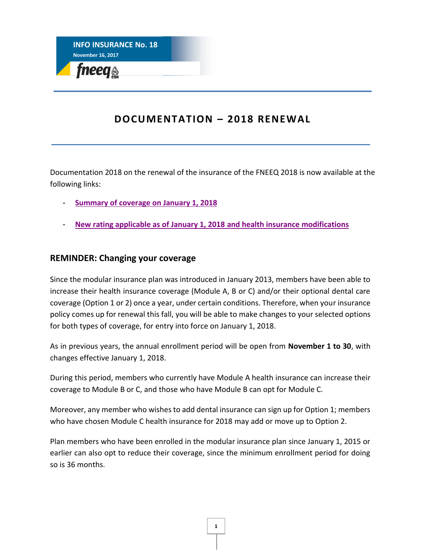

## **DOCUMENTATION – 2018 RENEWAL**

Documentation 2018 on the renewal of the insurance of the FNEEQ 2018 is now available at the following links:

- **[Summary of coverage](http://fneeq.qc.ca/wp-content/uploads/P281_Dep-AN_SommaireFNEEQ_11-17_WEB.pdf) on January 1, 2018**
- **[New rating applicable as of January 1, 2018](http://fneeq.qc.ca/wp-content/uploads/Leaflet-001008-001010-All-employees-Rates-2018.pdf) and health insurance modifications**

## **REMINDER: Changing your coverage**

Since the modular insurance plan was introduced in January 2013, members have been able to increase their health insurance coverage (Module A, B or C) and/or their optional dental care coverage (Option 1 or 2) once a year, under certain conditions. Therefore, when your insurance policy comes up for renewal this fall, you will be able to make changes to your selected options for both types of coverage, for entry into force on January 1, 2018.

As in previous years, the annual enrollment period will be open from **November 1 to 30**, with changes effective January 1, 2018.

During this period, members who currently have Module A health insurance can increase their coverage to Module B or C, and those who have Module B can opt for Module C.

Moreover, any member who wishes to add dental insurance can sign up for Option 1; members who have chosen Module C health insurance for 2018 may add or move up to Option 2.

Plan members who have been enrolled in the modular insurance plan since January 1, 2015 or earlier can also opt to reduce their coverage, since the minimum enrollment period for doing so is 36 months.